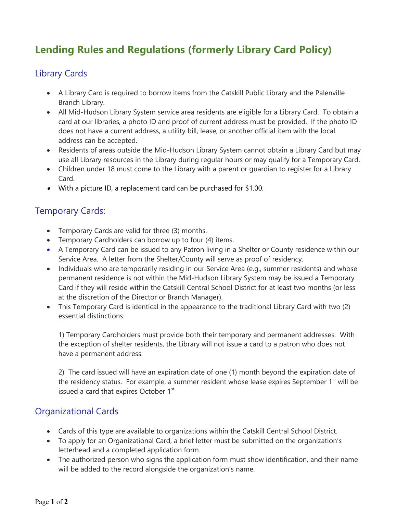# **Lending Rules and Regulations (formerly Library Card Policy)**

### Library Cards

- A Library Card is required to borrow items from the Catskill Public Library and the Palenville Branch Library.
- All Mid-Hudson Library System service area residents are eligible for a Library Card. To obtain a card at our libraries, a photo ID and proof of current address must be provided. If the photo ID does not have a current address, a utility bill, lease, or another official item with the local address can be accepted.
- Residents of areas outside the Mid-Hudson Library System cannot obtain a Library Card but may use all Library resources in the Library during regular hours or may qualify for a Temporary Card.
- Children under 18 must come to the Library with a parent or guardian to register for a Library Card.
- With a picture ID, a replacement card can be purchased for \$1.00.

### Temporary Cards:

- Temporary Cards are valid for three (3) months.
- Temporary Cardholders can borrow up to four (4) items.
- A Temporary Card can be issued to any Patron living in a Shelter or County residence within our Service Area. A letter from the Shelter/County will serve as proof of residency.
- Individuals who are temporarily residing in our Service Area (e.g., summer residents) and whose permanent residence is not within the Mid-Hudson Library System may be issued a Temporary Card if they will reside within the Catskill Central School District for at least two months (or less at the discretion of the Director or Branch Manager).
- This Temporary Card is identical in the appearance to the traditional Library Card with two (2) essential distinctions:

1) Temporary Cardholders must provide both their temporary and permanent addresses. With the exception of shelter residents, the Library will not issue a card to a patron who does not have a permanent address.

2) The card issued will have an expiration date of one (1) month beyond the expiration date of the residency status. For example, a summer resident whose lease expires September 1<sup>st</sup> will be issued a card that expires October 1<sup>st</sup>

### Organizational Cards

- Cards of this type are available to organizations within the Catskill Central School District.
- To apply for an Organizational Card, a brief letter must be submitted on the organization's letterhead and a completed application form.
- The authorized person who signs the application form must show identification, and their name will be added to the record alongside the organization's name.